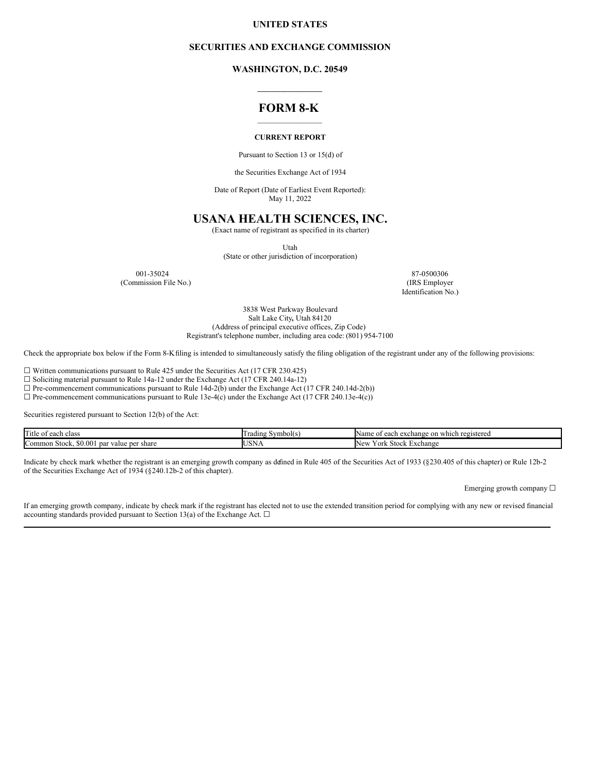### **UNITED STATES**

#### **SECURITIES AND EXCHANGE COMMISSION**

**WASHINGTON, D.C. 20549 \_\_\_\_\_\_\_\_\_\_\_\_\_\_\_\_\_**

# **FORM 8-K**  $\mathcal{L}_\text{max}$

#### **CURRENT REPORT**

Pursuant to Section 13 or 15(d) of

the Securities Exchange Act of 1934

Date of Report (Date of Earliest Event Reported): May 11, 2022

# **USANA HEALTH SCIENCES, INC.**

(Exact name of registrant as specified in its charter)

Utah

(State or other jurisdiction of incorporation)

(Commission File No.)

001-35024 87-0500306<br>
mmission File No.) (IRS Employer Identification No.)

> 3838 West Parkway Boulevard Salt Lake City**,** Utah 84120 (Address of principal executive offices, Zip Code) Registrant's telephone number, including area code: (801) 954-7100

Check the appropriate box below if the Form 8-Kfiling is intended to simultaneously satisfy the filing obligation of the registrant under any of the following provisions:

☐ Written communications pursuant to Rule 425 under the Securities Act (17 CFR 230.425)

☐ Soliciting material pursuant to Rule 14a-12 under the Exchange Act (17 CFR 240.14a-12)

 $\Box$  Pre-commencement communications pursuant to Rule 14d-2(b) under the Exchange Act (17 CFR 240.14d-2(b))

 $\Box$  Pre-commencement communications pursuant to Rule 13e-4(c) under the Exchange Act (17 CFR 240.13e-4(c))

Securities registered pursuant to Section 12(b) of the Act:

| in the set<br>1 it le<br>each class :<br>ОĪ        | $\sim$ vmbol(s,<br>. rading : | uwhich registered<br>on<br>exchange<br>Name<br>each<br>-01 |
|----------------------------------------------------|-------------------------------|------------------------------------------------------------|
| Common Stock, \$0.001<br>share<br>value per<br>par | ISN.<br><b>UUIT</b>           | <b>Stock</b><br>. Exchange<br>N eu<br>v or'<br>∽           |

Indicate by check mark whether the registrant is an emerging growth company as defined in Rule 405 of the Securities Act of 1933 (§230.405 of this chapter) or Rule 12b-2 of the Securities Exchange Act of 1934 (§240.12b-2 of this chapter).

Emerging growth company ☐

If an emerging growth company, indicate by check mark if the registrant has elected not to use the extended transition period for complying with any new or revised financial accounting standards provided pursuant to Section 13(a) of the Exchange Act.  $\Box$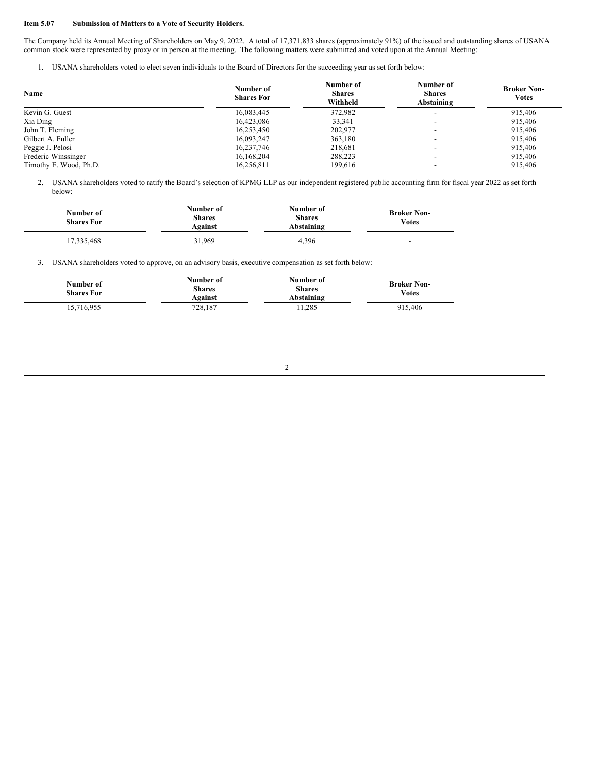## **Item 5.07 Submission of Matters to a Vote of Security Holders.**

The Company held its Annual Meeting of Shareholders on May 9, 2022. A total of 17,371,833 shares (approximately 91%) of the issued and outstanding shares of USANA common stock were represented by proxy or in person at the meeting. The following matters were submitted and voted upon at the Annual Meeting:

1. USANA shareholders voted to elect seven individuals to the Board of Directors for the succeeding year as set forth below:

| Name                   | Number of<br><b>Shares For</b> | Number of<br><b>Shares</b><br>Withheld | Number of<br><b>Shares</b><br>Abstaining | <b>Broker Non-</b><br><b>Votes</b> |
|------------------------|--------------------------------|----------------------------------------|------------------------------------------|------------------------------------|
| Kevin G. Guest         | 16.083.445                     | 372,982                                | $\overline{\phantom{a}}$                 | 915,406                            |
| Xia Ding               | 16,423,086                     | 33,341                                 |                                          | 915,406                            |
| John T. Fleming        | 16,253,450                     | 202.977                                |                                          | 915,406                            |
| Gilbert A. Fuller      | 16.093.247                     | 363.180                                | $\overline{\phantom{a}}$                 | 915,406                            |
| Peggie J. Pelosi       | 16.237.746                     | 218.681                                | -                                        | 915,406                            |
| Frederic Winssinger    | 16,168,204                     | 288,223                                |                                          | 915,406                            |
| Timothy E. Wood, Ph.D. | 16.256.811                     | 199.616                                |                                          | 915,406                            |

2. USANA shareholders voted to ratify the Board's selection of KPMG LLP as our independent registered public accounting firm for fiscal year 2022 as set forth below:

| Number of<br><b>Shares For</b> | Number of<br><b>Shares</b><br>Against | Number of<br><b>Shares</b><br>Abstaining | <b>Broker Non-</b><br>Votes |
|--------------------------------|---------------------------------------|------------------------------------------|-----------------------------|
| 17.335.468                     | 31.969                                | 4.396                                    | $\overline{\phantom{0}}$    |

3. USANA shareholders voted to approve, on an advisory basis, executive compensation as set forth below:

| Number of<br><b>Shares For</b> | Number of<br><b>Shares</b><br>Against | Number of<br><b>Shares</b><br>Abstaining | <b>Broker Non-</b><br>Votes |
|--------------------------------|---------------------------------------|------------------------------------------|-----------------------------|
| 15,716,955                     | 728.187                               | 11.285                                   | 915,406                     |

#### 2